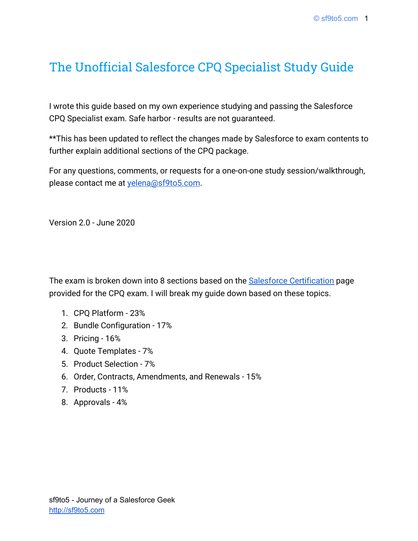# The Unofficial Salesforce CPQ Specialist Study Guide

I wrote this guide based on my own experience studying and passing the Salesforce CPQ Specialist exam. Safe harbor - results are not guaranteed.

\*\*This has been updated to reflect the changes made by Salesforce to exam contents to further explain additional sections of the CPQ package.

For any questions, comments, or requests for a one-on-one study session/walkthrough, please contact me at [yelena@sf9to5.com](mailto:yelena@sf9to5.com).

Version 2.0 - June 2020

The exam is broken down into 8 sections based on the **Salesforce Certification** page provided for the CPQ exam. I will break my guide down based on these topics.

- 1. CPQ Platform 23%
- 2. Bundle Configuration 17%
- 3. Pricing 16%
- 4. Quote Templates 7%
- 5. Product Selection 7%
- 6. Order, Contracts, Amendments, and Renewals 15%
- 7. Products 11%
- 8. Approvals 4%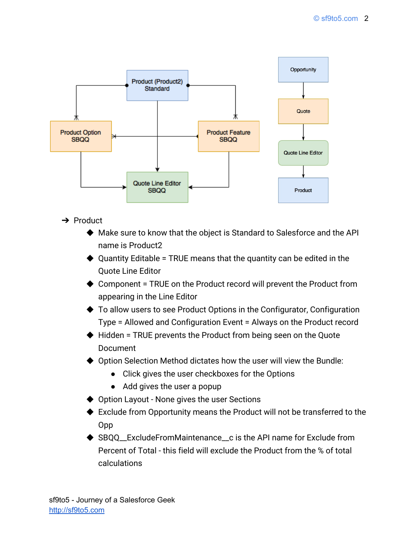

- **→** Product
	- ◆ Make sure to know that the object is Standard to Salesforce and the API name is Product2
	- $\blacklozenge$  Quantity Editable = TRUE means that the quantity can be edited in the Quote Line Editor
	- $\triangle$  Component = TRUE on the Product record will prevent the Product from appearing in the Line Editor
	- ◆ To allow users to see Product Options in the Configurator, Configuration Type = Allowed and Configuration Event = Always on the Product record
	- ◆ Hidden = TRUE prevents the Product from being seen on the Quote **Document**
	- ◆ Option Selection Method dictates how the user will view the Bundle:
		- Click gives the user checkboxes for the Options
		- Add gives the user a popup
	- ◆ Option Layout None gives the user Sections
	- ◆ Exclude from Opportunity means the Product will not be transferred to the Opp
	- $\triangle$  SBOO ExcludeFromMaintenance c is the API name for Exclude from Percent of Total - this field will exclude the Product from the % of total calculations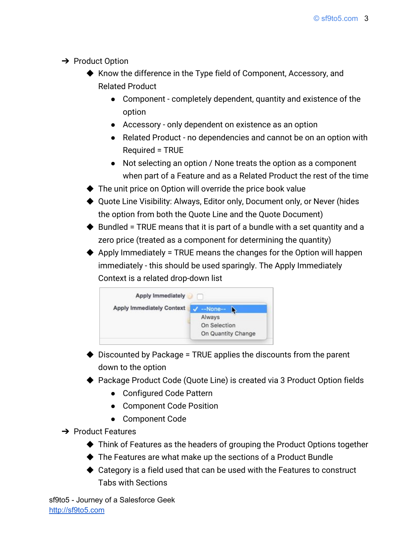- $\rightarrow$  Product Option
	- ◆ Know the difference in the Type field of Component, Accessory, and Related Product
		- Component completely dependent, quantity and existence of the option
		- Accessory only dependent on existence as an option
		- Related Product no dependencies and cannot be on an option with Required = TRUE
		- Not selecting an option / None treats the option as a component when part of a Feature and as a Related Product the rest of the time
	- ◆ The unit price on Option will override the price book value
	- ◆ Quote Line Visibility: Always, Editor only, Document only, or Never (hides the option from both the Quote Line and the Quote Document)
	- $\blacklozenge$  Bundled = TRUE means that it is part of a bundle with a set quantity and a zero price (treated as a component for determining the quantity)
	- $\blacklozenge$  Apply Immediately = TRUE means the changes for the Option will happen immediately - this should be used sparingly. The Apply Immediately Context is a related drop-down list



- $\blacklozenge$  Discounted by Package = TRUE applies the discounts from the parent down to the option
- ▶ Package Product Code (Quote Line) is created via 3 Product Option fields
	- Configured Code Pattern
	- Component Code Position
	- Component Code
- **→** Product Features
	- ◆ Think of Features as the headers of grouping the Product Options together
	- ◆ The Features are what make up the sections of a Product Bundle
	- ◆ Category is a field used that can be used with the Features to construct Tabs with Sections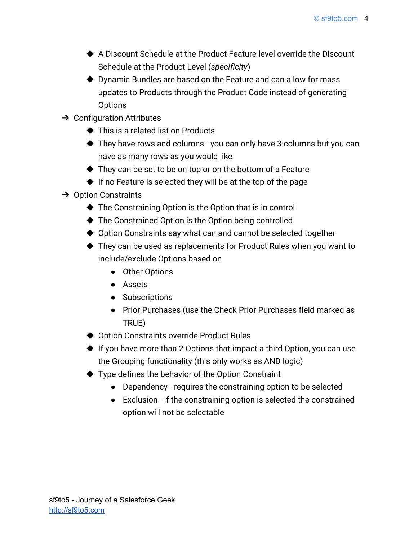- ◆ A Discount Schedule at the Product Feature level override the Discount Schedule at the Product Level (*specificity*)
- ◆ Dynamic Bundles are based on the Feature and can allow for mass updates to Products through the Product Code instead of generating **Options**
- $\rightarrow$  Configuration Attributes
	- ◆ This is a related list on Products
	- ◆ They have rows and columns you can only have 3 columns but you can have as many rows as you would like
	- ◆ They can be set to be on top or on the bottom of a Feature
	- $\blacklozenge$  If no Feature is selected they will be at the top of the page
- **→** Option Constraints
	- ◆ The Constraining Option is the Option that is in control
	- ◆ The Constrained Option is the Option being controlled
	- ◆ Option Constraints say what can and cannot be selected together
	- ◆ They can be used as replacements for Product Rules when you want to include/exclude Options based on
		- Other Options
		- Assets
		- Subscriptions
		- Prior Purchases (use the Check Prior Purchases field marked as TRUE)
	- ◆ Option Constraints override Product Rules
	- ◆ If you have more than 2 Options that impact a third Option, you can use the Grouping functionality (this only works as AND logic)
	- ◆ Type defines the behavior of the Option Constraint
		- Dependency requires the constraining option to be selected
		- Exclusion if the constraining option is selected the constrained option will not be selectable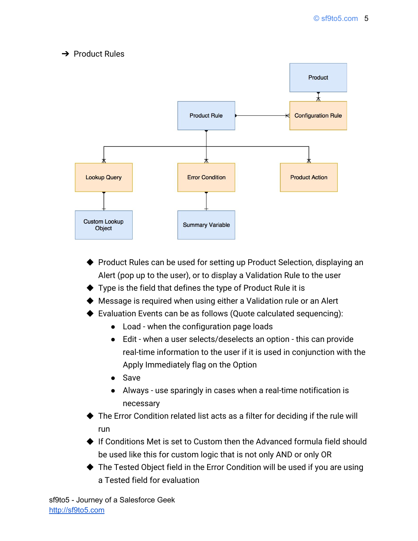### **→ Product Rules**



- ◆ Product Rules can be used for setting up Product Selection, displaying an Alert (pop up to the user), or to display a Validation Rule to the user
- $\blacklozenge$  Type is the field that defines the type of Product Rule it is
- ◆ Message is required when using either a Validation rule or an Alert
- ◆ Evaluation Events can be as follows (Quote calculated sequencing):
	- Load when the configuration page loads
	- Edit when a user selects/deselects an option this can provide real-time information to the user if it is used in conjunction with the Apply Immediately flag on the Option
	- Save
	- Always use sparingly in cases when a real-time notification is necessary
- ▶ The Error Condition related list acts as a filter for deciding if the rule will run
- ◆ If Conditions Met is set to Custom then the Advanced formula field should be used like this for custom logic that is not only AND or only OR
- ◆ The Tested Object field in the Error Condition will be used if you are using a Tested field for evaluation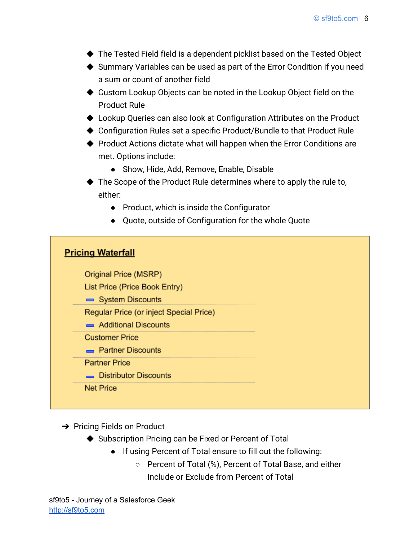- ◆ The Tested Field field is a dependent picklist based on the Tested Object
- ◆ Summary Variables can be used as part of the Error Condition if you need a sum or count of another field
- ◆ Custom Lookup Objects can be noted in the Lookup Object field on the Product Rule
- ◆ Lookup Queries can also look at Configuration Attributes on the Product
- ◆ Configuration Rules set a specific Product/Bundle to that Product Rule
- ◆ Product Actions dictate what will happen when the Error Conditions are met. Options include:
	- Show, Hide, Add, Remove, Enable, Disable
- ◆ The Scope of the Product Rule determines where to apply the rule to, either:
	- Product, which is inside the Configurator
	- Quote, outside of Configuration for the whole Quote

### **Pricing Waterfall**

Original Price (MSRP)

List Price (Price Book Entry)

System Discounts

Regular Price (or inject Special Price)

Additional Discounts

**Customer Price** 

**Partner Discounts** 

**Partner Price** 

Distributor Discounts

**Net Price** 

**→** Pricing Fields on Product

- ◆ Subscription Pricing can be Fixed or Percent of Total
	- If using Percent of Total ensure to fill out the following:
		- Percent of Total (%), Percent of Total Base, and either Include or Exclude from Percent of Total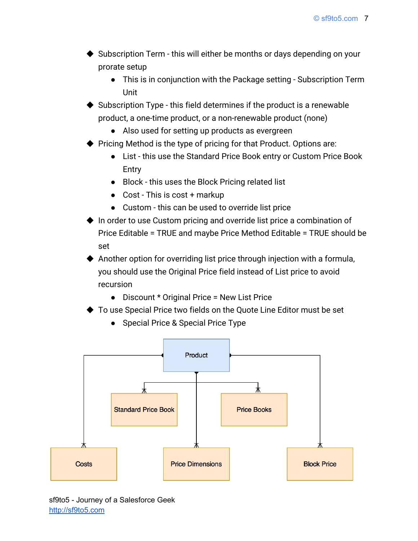- ▶ Subscription Term this will either be months or days depending on your prorate setup
	- This is in conjunction with the Package setting Subscription Term Unit
- Subscription Type this field determines if the product is a renewable product, a one-time product, or a non-renewable product (none)
	- Also used for setting up products as evergreen
- ◆ Pricing Method is the type of pricing for that Product. Options are:
	- List this use the Standard Price Book entry or Custom Price Book Entry
	- Block this uses the Block Pricing related list
	- Cost This is cost + markup
	- Custom this can be used to override list price
- ◆ In order to use Custom pricing and override list price a combination of Price Editable = TRUE and maybe Price Method Editable = TRUE should be set
- ◆ Another option for overriding list price through injection with a formula, you should use the Original Price field instead of List price to avoid recursion
	- Discount \* Original Price = New List Price
- ◆ To use Special Price two fields on the Quote Line Editor must be set
	- Special Price & Special Price Type

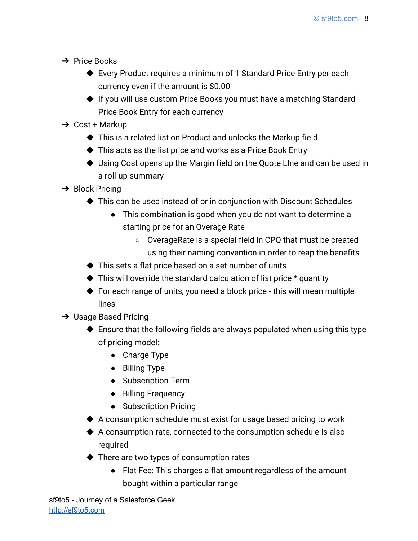- ➔ Price Books
	- ◆ Every Product requires a minimum of 1 Standard Price Entry per each currency even if the amount is \$0.00
	- ◆ If you will use custom Price Books you must have a matching Standard Price Book Entry for each currency
- $\rightarrow$  Cost + Markup
	- ◆ This is a related list on Product and unlocks the Markup field
	- ◆ This acts as the list price and works as a Price Book Entry
	- ◆ Using Cost opens up the Margin field on the Quote Line and can be used in a roll-up summary
- $\rightarrow$  Block Pricing
	- ◆ This can be used instead of or in conjunction with Discount Schedules
		- This combination is good when you do not want to determine a starting price for an Overage Rate
			- OverageRate is a special field in CPQ that must be created using their naming convention in order to reap the benefits
	- ◆ This sets a flat price based on a set number of units
	- $\blacklozenge$  This will override the standard calculation of list price  $*$  quantity
	- ◆ For each range of units, you need a block price this will mean multiple lines
- **→** Usage Based Pricing
	- ◆ Ensure that the following fields are always populated when using this type of pricing model:
		- Charge Type
		- Billing Type
		- Subscription Term
		- Billing Frequency
		- Subscription Pricing
	- ◆ A consumption schedule must exist for usage based pricing to work
	- $\blacklozenge$  A consumption rate, connected to the consumption schedule is also required
	- ◆ There are two types of consumption rates
		- Flat Fee: This charges a flat amount regardless of the amount bought within a particular range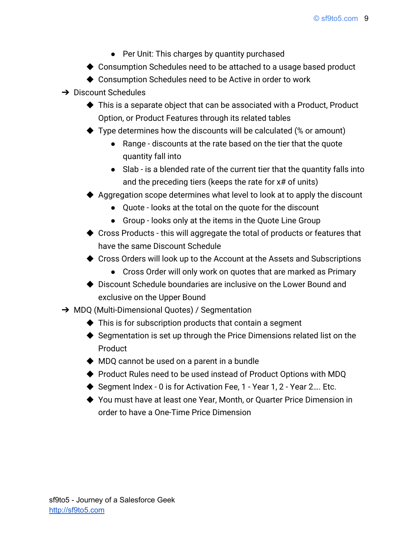- Per Unit: This charges by quantity purchased
- ◆ Consumption Schedules need to be attached to a usage based product
- ◆ Consumption Schedules need to be Active in order to work
- $\rightarrow$  Discount Schedules
	- ◆ This is a separate object that can be associated with a Product, Product Option, or Product Features through its related tables
	- $\blacklozenge$  Type determines how the discounts will be calculated (% or amount)
		- Range discounts at the rate based on the tier that the quote quantity fall into
		- Slab is a blended rate of the current tier that the quantity falls into and the preceding tiers (keeps the rate for x# of units)
	- ◆ Aggregation scope determines what level to look at to apply the discount
		- Quote looks at the total on the quote for the discount
		- Group looks only at the items in the Quote Line Group
	- ◆ Cross Products this will aggregate the total of products or features that have the same Discount Schedule
	- ◆ Cross Orders will look up to the Account at the Assets and Subscriptions
		- Cross Order will only work on quotes that are marked as Primary
	- ◆ Discount Schedule boundaries are inclusive on the Lower Bound and exclusive on the Upper Bound
- → MDQ (Multi-Dimensional Quotes) / Segmentation
	- $\blacklozenge$  This is for subscription products that contain a segment
	- ◆ Segmentation is set up through the Price Dimensions related list on the Product
	- ◆ MDQ cannot be used on a parent in a bundle
	- ◆ Product Rules need to be used instead of Product Options with MDQ
	- ◆ Segment Index 0 is for Activation Fee, 1 Year 1, 2 Year 2.... Etc.
	- ◆ You must have at least one Year, Month, or Quarter Price Dimension in order to have a One-Time Price Dimension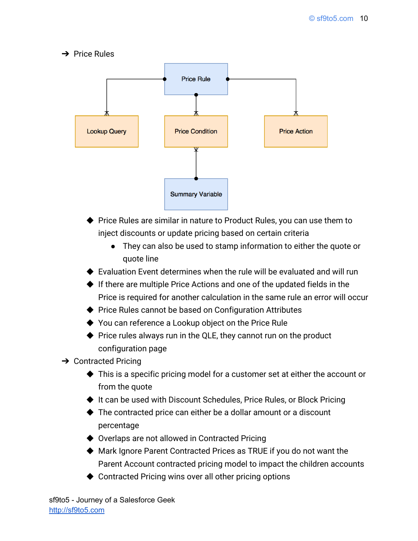$\rightarrow$  Price Rules



- ◆ Price Rules are similar in nature to Product Rules, you can use them to inject discounts or update pricing based on certain criteria
	- They can also be used to stamp information to either the quote or quote line
- $\blacklozenge$  Evaluation Event determines when the rule will be evaluated and will run
- ◆ If there are multiple Price Actions and one of the updated fields in the Price is required for another calculation in the same rule an error will occur
- ◆ Price Rules cannot be based on Configuration Attributes
- ◆ You can reference a Lookup object on the Price Rule
- ◆ Price rules always run in the QLE, they cannot run on the product configuration page
- $\rightarrow$  Contracted Pricing
	- ◆ This is a specific pricing model for a customer set at either the account or from the quote
	- ◆ It can be used with Discount Schedules, Price Rules, or Block Pricing
	- ◆ The contracted price can either be a dollar amount or a discount percentage
	- ◆ Overlaps are not allowed in Contracted Pricing
	- ◆ Mark Ignore Parent Contracted Prices as TRUE if you do not want the Parent Account contracted pricing model to impact the children accounts
	- ◆ Contracted Pricing wins over all other pricing options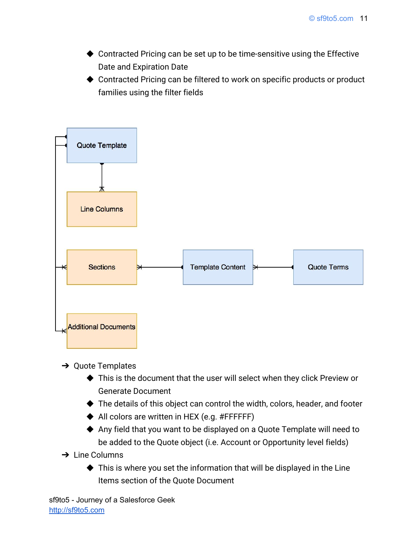- ◆ Contracted Pricing can be set up to be time-sensitive using the Effective Date and Expiration Date
- ◆ Contracted Pricing can be filtered to work on specific products or product families using the filter fields



- $\rightarrow$  Quote Templates
	- ◆ This is the document that the user will select when they click Preview or Generate Document
	- ◆ The details of this object can control the width, colors, header, and footer
	- ◆ All colors are written in HEX (e.g. #FFFFFF)
	- ◆ Any field that you want to be displayed on a Quote Template will need to be added to the Quote object (i.e. Account or Opportunity level fields)
- **→ Line Columns** 
	- $\blacklozenge$  This is where you set the information that will be displayed in the Line Items section of the Quote Document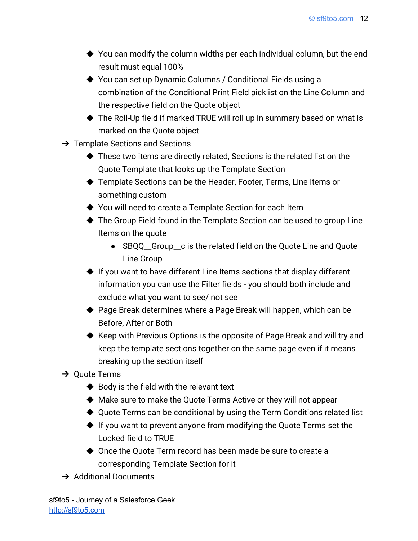- ◆ You can modify the column widths per each individual column, but the end result must equal 100%
- ◆ You can set up Dynamic Columns / Conditional Fields using a combination of the Conditional Print Field picklist on the Line Column and the respective field on the Quote object
- ◆ The Roll-Up field if marked TRUE will roll up in summary based on what is marked on the Quote object
- **→** Template Sections and Sections
	- ◆ These two items are directly related, Sections is the related list on the Quote Template that looks up the Template Section
	- ◆ Template Sections can be the Header, Footer, Terms, Line Items or something custom
	- ◆ You will need to create a Template Section for each Item
	- ◆ The Group Field found in the Template Section can be used to group Line Items on the quote
		- SBQQ\_\_Group\_\_c is the related field on the Quote Line and Quote Line Group
	- ◆ If you want to have different Line Items sections that display different information you can use the Filter fields - you should both include and exclude what you want to see/ not see
	- ◆ Page Break determines where a Page Break will happen, which can be Before, After or Both
	- ◆ Keep with Previous Options is the opposite of Page Break and will try and keep the template sections together on the same page even if it means breaking up the section itself
- **→ Ouote Terms** 
	- $\blacklozenge$  Body is the field with the relevant text
	- ◆ Make sure to make the Quote Terms Active or they will not appear
	- ◆ Quote Terms can be conditional by using the Term Conditions related list
	- ◆ If you want to prevent anyone from modifying the Quote Terms set the Locked field to TRUE
	- ◆ Once the Quote Term record has been made be sure to create a corresponding Template Section for it
- **→** Additional Documents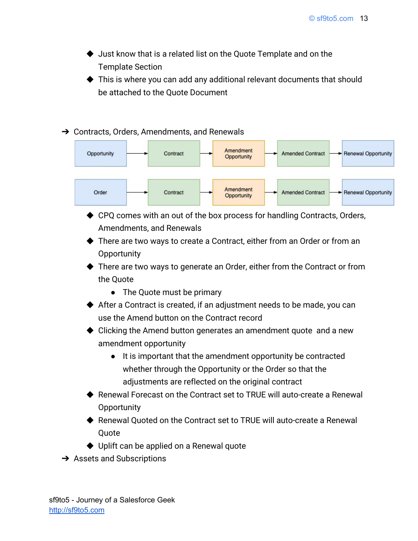- ◆ Just know that is a related list on the Quote Template and on the Template Section
- ◆ This is where you can add any additional relevant documents that should be attached to the Quote Document

#### ➔ Contracts, Orders, Amendments, and Renewals



- ◆ CPQ comes with an out of the box process for handling Contracts, Orders, Amendments, and Renewals
- ◆ There are two ways to create a Contract, either from an Order or from an **Opportunity**
- ◆ There are two ways to generate an Order, either from the Contract or from the Quote
	- The Quote must be primary
- ◆ After a Contract is created, if an adjustment needs to be made, you can use the Amend button on the Contract record
- ◆ Clicking the Amend button generates an amendment quote and a new amendment opportunity
	- It is important that the amendment opportunity be contracted whether through the Opportunity or the Order so that the adjustments are reflected on the original contract
- ◆ Renewal Forecast on the Contract set to TRUE will auto-create a Renewal **Opportunity**
- ◆ Renewal Quoted on the Contract set to TRUE will auto-create a Renewal **Quote**
- ◆ Uplift can be applied on a Renewal quote
- $\rightarrow$  Assets and Subscriptions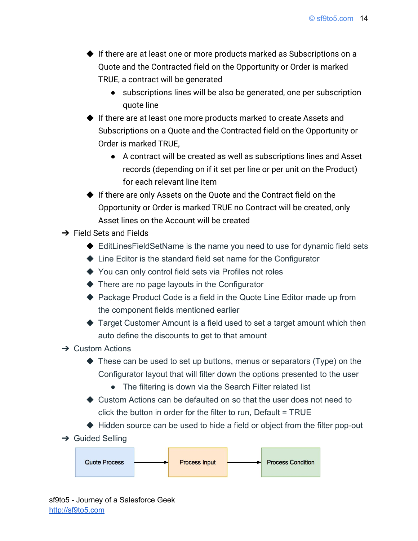- ◆ If there are at least one or more products marked as Subscriptions on a Quote and the Contracted field on the Opportunity or Order is marked TRUE, a contract will be generated
	- subscriptions lines will be also be generated, one per subscription quote line
- ◆ If there are at least one more products marked to create Assets and Subscriptions on a Quote and the Contracted field on the Opportunity or Order is marked TRUE,
	- A contract will be created as well as subscriptions lines and Asset records (depending on if it set per line or per unit on the Product) for each relevant line item
- ◆ If there are only Assets on the Quote and the Contract field on the Opportunity or Order is marked TRUE no Contract will be created, only Asset lines on the Account will be created
- $\rightarrow$  Field Sets and Fields
	- ◆ EditLinesFieldSetName is the name you need to use for dynamic field sets
	- ◆ Line Editor is the standard field set name for the Configurator
	- ◆ You can only control field sets via Profiles not roles
	- ◆ There are no page layouts in the Configurator
	- ◆ Package Product Code is a field in the Quote Line Editor made up from the component fields mentioned earlier
	- ◆ Target Customer Amount is a field used to set a target amount which then auto define the discounts to get to that amount
- $\rightarrow$  Custom Actions
	- ◆ These can be used to set up buttons, menus or separators (Type) on the Configurator layout that will filter down the options presented to the user
		- The filtering is down via the Search Filter related list
	- ◆ Custom Actions can be defaulted on so that the user does not need to click the button in order for the filter to run, Default = TRUE
	- ◆ Hidden source can be used to hide a field or object from the filter pop-out
- $\rightarrow$  Guided Selling

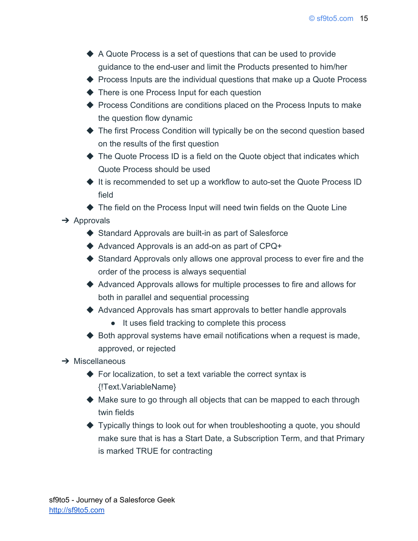- ◆ A Quote Process is a set of questions that can be used to provide guidance to the end-user and limit the Products presented to him/her
- ◆ Process Inputs are the individual questions that make up a Quote Process
- ◆ There is one Process Input for each question
- ◆ Process Conditions are conditions placed on the Process Inputs to make the question flow dynamic
- ◆ The first Process Condition will typically be on the second question based on the results of the first question
- ◆ The Quote Process ID is a field on the Quote object that indicates which Quote Process should be used
- ◆ It is recommended to set up a workflow to auto-set the Quote Process ID field

◆ The field on the Process Input will need twin fields on the Quote Line

 $\rightarrow$  Approvals

- ◆ Standard Approvals are built-in as part of Salesforce
- ◆ Advanced Approvals is an add-on as part of CPQ+
- ◆ Standard Approvals only allows one approval process to ever fire and the order of the process is always sequential
- ◆ Advanced Approvals allows for multiple processes to fire and allows for both in parallel and sequential processing
- ◆ Advanced Approvals has smart approvals to better handle approvals
	- It uses field tracking to complete this process
- $\blacklozenge$  Both approval systems have email notifications when a request is made, approved, or rejected
- $\rightarrow$  Miscellaneous
	- $\blacklozenge$  For localization, to set a text variable the correct syntax is {!Text.VariableName}
	- ◆ Make sure to go through all objects that can be mapped to each through twin fields
	- ◆ Typically things to look out for when troubleshooting a quote, you should make sure that is has a Start Date, a Subscription Term, and that Primary is marked TRUE for contracting